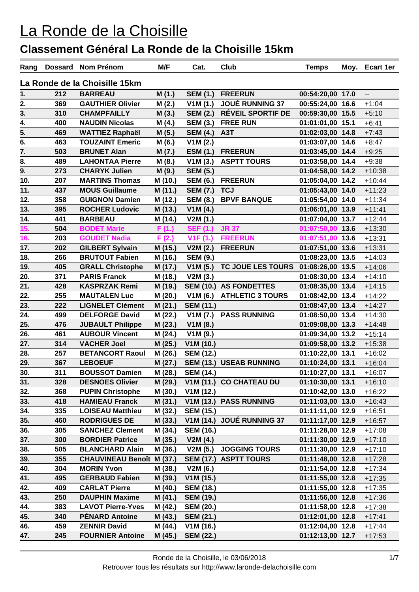| Rang |     | Dossard Nom Prénom               | M/F     | Cat.             | Club                     | <b>Temps</b>     | Moy. | <b>Ecart 1er</b>         |
|------|-----|----------------------------------|---------|------------------|--------------------------|------------------|------|--------------------------|
|      |     | La Ronde de la Choisille 15km    |         |                  |                          |                  |      |                          |
| 1.   | 212 | <b>BARREAU</b>                   | M(1.)   | <b>SEM (1.)</b>  | <b>FREERUN</b>           | 00:54:20,00 17.0 |      | $\overline{\phantom{a}}$ |
| 2.   | 369 | <b>GAUTHIER Olivier</b>          | M(2.)   | V1M(1.)          | <b>JOUÉ RUNNING 37</b>   | 00:55:24,00 16.6 |      | $+1:04$                  |
| 3.   | 310 | <b>CHAMPFAILLY</b>               | M(3.)   | <b>SEM (2.)</b>  | <b>RÉVEIL SPORTIF DE</b> | 00:59:30,00 15.5 |      | $+5:10$                  |
| 4.   | 400 | <b>NAUDIN Nicolas</b>            | M(4.)   | <b>SEM (3.)</b>  | <b>FREE RUN</b>          | 01:01:01,00 15.1 |      | $+6:41$                  |
| 5.   | 469 | <b>WATTIEZ Raphaël</b>           | M(5.)   | <b>SEM (4.)</b>  | A <sub>3</sub> T         | 01:02:03,00 14.8 |      | $+7:43$                  |
| 6.   | 463 | <b>TOUZAINT Emeric</b>           | M(6.)   | V1M(2.)          |                          | 01:03:07,00 14.6 |      | $+8:47$                  |
| 7.   | 503 | <b>BRUNET Alan</b>               | M(7.)   | <b>ESM (1.)</b>  | <b>FREERUN</b>           | 01:03:45,00 14.4 |      | $+9:25$                  |
| 8.   | 489 | <b>LAHONTAA Pierre</b>           | M(8.)   | V1M(3.)          | <b>ASPTT TOURS</b>       | 01:03:58,00 14.4 |      | $+9:38$                  |
| 9.   | 273 | <b>CHARYK Julien</b>             | M(9.)   | <b>SEM (5.)</b>  |                          | 01:04:58,00 14.2 |      | $+10:38$                 |
| 10.  | 207 | <b>MARTINS Thomas</b>            | M (10.) | <b>SEM (6.)</b>  | <b>FREERUN</b>           | 01:05:04,00 14.2 |      | $+10:44$                 |
| 11.  | 437 | <b>MOUS Guillaume</b>            | M (11.) | <b>SEM (7.)</b>  | <b>TCJ</b>               | 01:05:43,00 14.0 |      | $+11:23$                 |
| 12.  | 358 | <b>GUIGNON Damien</b>            | M (12.) | <b>SEM (8.)</b>  | <b>BPVF BANQUE</b>       | 01:05:54,00 14.0 |      | $+11:34$                 |
| 13.  | 395 | <b>ROCHER Ludovic</b>            | M (13.) | V1M(4.)          |                          | 01:06:01,00 13.9 |      | $+11:41$                 |
| 14.  | 441 | <b>BARBEAU</b>                   | M (14.) | V2M(1.)          |                          | 01:07:04,00 13.7 |      | $+12:44$                 |
| 15.  | 504 | <b>BODET Marie</b>               | F(1.)   | <b>SEF (1.)</b>  | <b>JR 37</b>             | 01:07:50,00 13.6 |      | $+13:30$                 |
| 16.  | 203 | <b>GOUDET Nadia</b>              | F(2.)   | V1F(1.)          | <b>FREERUN</b>           | 01:07:51,00 13.6 |      | $+13:31$                 |
| 17.  | 202 | <b>GILBERT Sylvain</b>           | M (15.) | V2M(2.)          | <b>FREERUN</b>           | 01:07:51,00 13.6 |      | $+13:31$                 |
| 18.  | 266 | <b>BRUTOUT Fabien</b>            | M (16.) | <b>SEM (9.)</b>  |                          | 01:08:23,00 13.5 |      | $+14:03$                 |
| 19.  | 405 | <b>GRALL Christophe</b>          | M (17.) | V1M(5.)          | TC JOUE LES TOURS        | 01:08:26,00 13.5 |      | $+14:06$                 |
| 20.  | 371 | <b>PARIS Franck</b>              | M (18.) | V2M(3.)          |                          | 01:08:30,00 13.4 |      | $+14:10$                 |
| 21.  | 428 | <b>KASPRZAK Remi</b>             | M (19.) |                  | SEM (10.) AS FONDETTES   | 01:08:35,00 13.4 |      | $+14:15$                 |
| 22.  | 255 | <b>MAUTALEN Luc</b>              | M (20.) | V1M(6.)          | <b>ATHLETIC 3 TOURS</b>  | 01:08:42,00 13.4 |      | $+14:22$                 |
| 23.  | 222 | <b>LIGNELET Clément</b>          | M (21.) | <b>SEM (11.)</b> |                          | 01:08:47,00 13.4 |      | $+14:27$                 |
| 24.  | 499 | <b>DELFORGE David</b>            | M (22.) | V1M(7.)          | <b>PASS RUNNING</b>      | 01:08:50,00 13.4 |      | $+14:30$                 |
| 25.  | 476 | <b>JUBAULT Philippe</b>          | M (23.) | V1M(8.)          |                          | 01:09:08,00 13.3 |      | $+14:48$                 |
| 26.  | 461 | <b>AUBOUR Vincent</b>            | M (24.) | V1M(9.)          |                          | 01:09:34,00 13.2 |      | $+15:14$                 |
| 27.  | 314 | <b>VACHER Joel</b>               | M (25.) | V1M(10.)         |                          | 01:09:58,00 13.2 |      | $+15:38$                 |
| 28.  | 257 | <b>BETANCORT Raoul</b>           | M (26.) | <b>SEM (12.)</b> |                          | 01:10:22,00 13.1 |      | $+16:02$                 |
| 29.  | 367 | <b>LEBOEUF</b>                   | M (27.) | <b>SEM (13.)</b> | <b>USEAB RUNNING</b>     | 01:10:24,00 13.1 |      | $+16:04$                 |
| 30.  | 311 | <b>BOUSSOT Damien</b>            | M (28.) | <b>SEM (14.)</b> |                          | 01:10:27,00 13.1 |      | $+16:07$                 |
| 31.  | 328 | <b>DESNOES Olivier</b>           | M (29.) |                  | V1M (11.) CO CHATEAU DU  | 01:10:30,00 13.1 |      | $+16:10$                 |
| 32.  | 368 | <b>PUPIN Christophe</b>          | M (30.) | V1M(12.)         |                          | 01:10:42,00 13.0 |      | $+16:22$                 |
| 33.  | 418 | <b>HAMIEAU Franck</b>            | M (31.) | V1M(13.)         | <b>PASS RUNNING</b>      | 01:11:03,00 13.0 |      | $+16:43$                 |
| 34.  | 335 | <b>LOISEAU Matthieu</b>          | M (32.) | <b>SEM (15.)</b> |                          | 01:11:11,00 12.9 |      | $+16:51$                 |
| 35.  | 460 | <b>RODRIGUES DE</b>              | M (33.) | V1M(14.)         | <b>JOUÉ RUNNING 37</b>   | 01:11:17,00 12.9 |      | $+16:57$                 |
| 36.  | 305 | <b>SANCHEZ Clement</b>           | M (34.) | <b>SEM (16.)</b> |                          | 01:11:28,00 12.9 |      | $+17:08$                 |
| 37.  | 300 | <b>BORDIER Patrice</b>           | M (35.) | V2M(4.)          |                          | 01:11:30,00 12.9 |      | $+17:10$                 |
| 38.  | 505 | <b>BLANCHARD Alain</b>           | M (36.) | V2M(5.)          | <b>JOGGING TOURS</b>     | 01:11:30,00 12.9 |      | $+17:10$                 |
| 39.  | 355 | <b>CHAUVINEAU Benoît M (37.)</b> |         |                  | SEM (17.) ASPTT TOURS    | 01:11:48,00 12.8 |      | $+17:28$                 |
| 40.  | 304 | <b>MORIN Yvon</b>                | M (38.) | V2M(6.)          |                          | 01:11:54,00 12.8 |      | $+17:34$                 |
| 41.  | 495 | <b>GERBAUD Fabien</b>            | M (39.) | V1M(15.)         |                          | 01:11:55,00 12.8 |      | $+17:35$                 |
| 42.  | 409 | <b>CARLAT Pierre</b>             | M (40.) | <b>SEM (18.)</b> |                          | 01:11:55,00 12.8 |      | $+17:35$                 |
| 43.  | 250 | <b>DAUPHIN Maxime</b>            | M (41.) | <b>SEM (19.)</b> |                          | 01:11:56,00 12.8 |      | $+17:36$                 |
| 44.  | 383 | <b>LAVOT Pierre-Yves</b>         | M (42.) | <b>SEM (20.)</b> |                          | 01:11:58,00 12.8 |      | $+17:38$                 |
| 45.  | 340 | <b>PÉNARD Antoine</b>            | M (43.) | <b>SEM (21.)</b> |                          | 01:12:01,00 12.8 |      | $+17:41$                 |
| 46.  | 459 | <b>ZENNIR David</b>              | M (44.) | V1M (16.)        |                          | 01:12:04,00 12.8 |      | $+17:44$                 |
| 47.  | 245 | <b>FOURNIER Antoine</b>          | M(45.)  | <b>SEM (22.)</b> |                          | 01:12:13,00 12.7 |      | $+17:53$                 |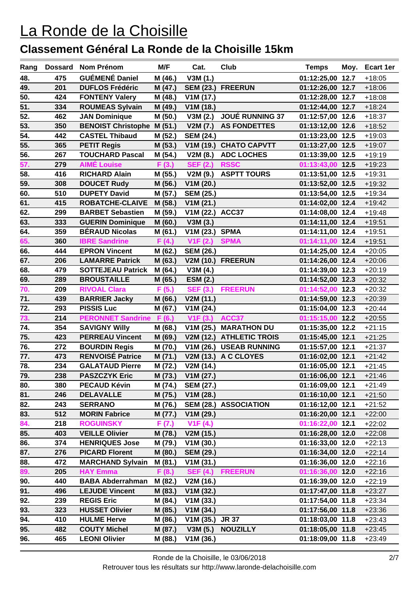| Rang       | <b>Dossard</b> | Nom Prénom                                      | M/F     | Cat.                           | Club                    | <b>Temps</b>                         | Moy. | Ecart 1er            |
|------------|----------------|-------------------------------------------------|---------|--------------------------------|-------------------------|--------------------------------------|------|----------------------|
| 48.        | 475            | <b>GUÉMENÉ Daniel</b>                           | M (46.) | V3M(1.)                        |                         | 01:12:25,00 12.7                     |      | $+18:05$             |
| 49.        | 201            | <b>DUFLOS Frédéric</b>                          | M (47.) |                                | SEM (23.) FREERUN       | 01:12:26,00 12.7                     |      | $+18:06$             |
| 50.        | 424            | <b>FONTENY Valery</b>                           | M (48.) | V1M(17.)                       |                         | 01:12:28,00 12.7                     |      | $+18:08$             |
| 51.        | 334            | <b>ROUMEAS Sylvain</b>                          | M (49.) | V1M(18.)                       |                         | 01:12:44,00 12.7                     |      | $+18:24$             |
| 52.        | 462            | <b>JAN Dominique</b>                            | M (50.) | V3M(2.)                        | <b>JOUÉ RUNNING 37</b>  | 01:12:57,00 12.6                     |      | $+18:37$             |
| 53.        | 350            | <b>BENOIST Christophe M (51.)</b>               |         | V2M(7.)                        | <b>AS FONDETTES</b>     | 01:13:12,00 12.6                     |      | $+18:52$             |
| 54.        | 442            | <b>CASTEL Thibaud</b>                           | M (52.) | <b>SEM (24.)</b>               |                         | 01:13:23,00 12.5                     |      | $+19:03$             |
| 55.        | 365            | <b>PETIT Regis</b>                              | M (53.) | V1M(19.)                       | <b>CHATO CAPVTT</b>     | 01:13:27,00 12.5                     |      | $+19:07$             |
| 56.        | 267            | <b>TOUCHARD Pascal</b>                          | M (54.) | V2M(8.)                        | <b>ADC LOCHES</b>       | 01:13:39,00 12.5                     |      | $+19:19$             |
| 57.        | 279            | <b>AIMÉ Louise</b>                              | F(3.)   | <b>SEF (2.)</b>                | <b>RSSC</b>             | 01:13:43.00 12.5                     |      | $+19:23$             |
| 58.        | 416            | <b>RICHARD Alain</b>                            | M (55.) | V2M(9.)                        | <b>ASPTT TOURS</b>      | 01:13:51,00 12.5                     |      | $+19:31$             |
| 59.        | 308            | <b>DOUCET Rudy</b>                              | M (56.) | V1M(20.)                       |                         | 01:13:52,00 12.5                     |      | $+19:32$             |
| 60.        | 510            | <b>DUPETY David</b>                             | M (57.) | <b>SEM (25.)</b>               |                         | 01:13:54,00 12.5                     |      | $+19:34$             |
| 61.        | 415            | <b>ROBATCHE-CLAIVE</b>                          | M (58.) | V1M(21.)                       |                         | 01:14:02,00 12.4                     |      | $+19:42$             |
| 62.        | 299            | <b>BARBET Sebastien</b>                         | M (59.) | V1M (22.) ACC37                |                         | 01:14:08,00 12.4                     |      | $+19:48$             |
| 63.        | 333            | <b>GUERIN Dominique</b>                         | M (60.) | V3M(3.)                        |                         | 01:14:11,00 12.4                     |      | $+19:51$             |
| 64.        | 359            | <b>BÉRAUD Nicolas</b>                           | M (61.) | V1M(23.)                       | <b>SPMA</b>             | 01:14:11,00 12.4                     |      | $+19:51$             |
| 65.        | 360            | <b>IBRE Sandrine</b>                            | F(4.)   | V1F(2.)                        | <b>SPMA</b>             | 01:14:11,00 12.4                     |      | $+19:51$             |
| 66.        | 444            | <b>EPRON Vincent</b>                            | M (62.) | <b>SEM (26.)</b>               |                         | 01:14:25,00 12.4                     |      | $+20:05$             |
| 67.        | 206            | <b>LAMARRE Patrick</b>                          | M (63.) |                                | V2M (10.) FREERUN       | 01:14:26,00 12.4                     |      | $+20:06$             |
| 68.        | 479            | <b>SOTTEJEAU Patrick</b>                        | M(64.)  | V3M(4.)                        |                         | 01:14:39,00 12.3                     |      | $+20:19$             |
| 69.        | 289            | <b>BROUSTAILLE</b>                              | M (65.) | <b>ESM (2.)</b>                |                         | 01:14:52,00 12.3                     |      | $+20:32$             |
| 70.        | 209            | <b>RIVOAL Clara</b>                             | F(5.)   | <b>SEF (3.)</b>                | <b>FREERUN</b>          | 01:14:52,00 12.3                     |      | $+20:32$             |
| 71.        | 439            | <b>BARRIER Jacky</b>                            | M (66.) | V2M(11.)                       |                         | 01:14:59,00 12.3                     |      | $+20:39$             |
| 72.        | 293            | <b>PISSIS Luc</b>                               | M (67.) | V1M(24.)                       |                         | 01:15:04,00 12.3                     |      | $+20:44$             |
| 73.        | 214            | <b>PERONNET Sandrine</b>                        | F (6.)  | V1F(3.)                        | ACC37                   | 01:15:15,00 12.2                     |      | $+20:55$             |
| 74.        | 354            | <b>SAVIGNY Willy</b>                            | M (68.) | V1M(25.)                       | <b>MARATHON DU</b>      | 01:15:35,00 12.2                     |      | $+21:15$             |
| 75.        | 423            | <b>PERREAU Vincent</b>                          | M (69.) | V2M(12.)                       | <b>ATHLETIC TROIS</b>   | 01:15:45,00 12.1                     |      | $+21:25$             |
| 76.        | 272            | <b>BOURDIN Regis</b><br><b>RENVOISÉ Patrice</b> | M (70.) |                                | V1M (26.) USEAB RUNNING | 01:15:57,00 12.1                     |      | $+21:37$             |
| 77.<br>78. | 473<br>234     | <b>GALATAUD Pierre</b>                          | M (71.) |                                | V2M (13.) A C CLOYES    | 01:16:02,00 12.1                     |      | $+21:42$             |
|            |                | <b>PASZCZYK Eric</b>                            | M (72.) | V2M (14.)                      |                         | 01:16:05,00 12.1                     |      | $+21:45$             |
| 79.<br>80. | 238<br>380     | <b>PECAUD Kévin</b>                             | M (73.) | V1M (27.)<br>M (74.) SEM (27.) |                         | 01:16:06,00 12.1<br>01:16:09,00 12.1 |      | $+21:46$<br>$+21:49$ |
| 81.        | 246            | <b>DELAVALLE</b>                                |         | M (75.) V1M (28.)              |                         | 01:16:10,00 12.1                     |      | $+21:50$             |
| 82.        | 243            | <b>SERRANO</b>                                  | M (76.) |                                | SEM (28.) ASSOCIATION   | 01:16:12,00 12.1                     |      | $+21:52$             |
| 83.        | 512            | <b>MORIN Fabrice</b>                            | M (77.) | V1M(29.)                       |                         | 01:16:20,00 12.1                     |      | $+22:00$             |
| 84.        | 218            | <b>ROGUINSKY</b>                                | F(7.)   | V1F(4.)                        |                         | 01:16:22,00 12.1                     |      | $+22:02$             |
| 85.        | 403            | <b>VEILLE Olivier</b>                           |         | M (78.) V2M (15.)              |                         | 01:16:28,00 12.0                     |      | $+22:08$             |
| 86.        | 374            | <b>HENRIQUES Jose</b>                           | M (79.) | V1M(30.)                       |                         | 01:16:33,00 12.0                     |      | $+22:13$             |
| 87.        | 276            | <b>PICARD Florent</b>                           | M (80.) | <b>SEM (29.)</b>               |                         | 01:16:34,00 12.0                     |      | $+22:14$             |
| 88.        | 472            | MARCHAND Sylvain M (81.)                        |         | V1M(31.)                       |                         | 01:16:36,00 12.0                     |      | $+22:16$             |
| 89.        | 205            | <b>HAY Emma</b>                                 | F(8.)   |                                | SEF (4.) FREERUN        | 01:16:36,00 12.0                     |      | $+22:16$             |
| 90.        | 440            | <b>BABA Abderrahman</b>                         | M (82.) | V2M (16.)                      |                         | 01:16:39,00 12.0                     |      | $+22:19$             |
| 91.        | 496            | <b>LEJUDE Vincent</b>                           | M (83.) | V1M(32.)                       |                         | 01:17:47,00 11.8                     |      | $+23:27$             |
| 92.        | 239            | <b>REGIS Eric</b>                               | M (84.) | V1M(33.)                       |                         | 01:17:54,00 11.8                     |      | $+23:34$             |
| 93.        | 323            | <b>HUSSET Olivier</b>                           | M (85.) | V1M(34.)                       |                         | 01:17:56,00 11.8                     |      | $+23:36$             |
| 94.        | 410            | <b>HULME Herve</b>                              | M (86.) | V1M (35.) JR 37                |                         | 01:18:03,00 11.8                     |      | $+23:43$             |
| 95.        | 482            | <b>COUTY Michel</b>                             | M (87.) |                                | V3M (5.) NOUZILLY       | 01:18:05,00 11.8                     |      | $+23:45$             |
| 96.        | 465            | <b>LEONI Olivier</b>                            | M (88.) | V1M(36.)                       |                         | 01:18:09,00 11.8                     |      | $+23:49$             |
|            |                |                                                 |         |                                |                         |                                      |      |                      |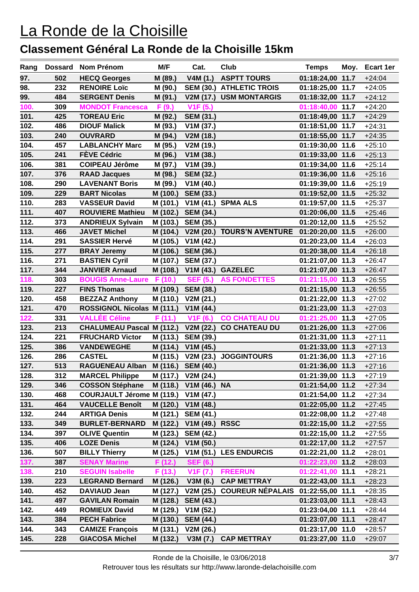| Rang |     | Dossard Nom Prénom                    | M/F      | Cat.                    | Club                                                 | <b>Temps</b>     | Moy. | Ecart 1er |
|------|-----|---------------------------------------|----------|-------------------------|------------------------------------------------------|------------------|------|-----------|
| 97.  | 502 | <b>HECQ Georges</b>                   | M (89.)  | V4M(1.)                 | <b>ASPTT TOURS</b>                                   | 01:18:24,00 11.7 |      | $+24:04$  |
| 98.  | 232 | <b>RENOIRE Loïc</b>                   | M (90.)  | <b>SEM (30.)</b>        | <b>ATHLETIC TROIS</b>                                | 01:18:25,00 11.7 |      | $+24:05$  |
| 99.  | 484 | <b>SERGENT Denis</b>                  | M (91.)  | V2M (17.)               | <b>USM MONTARGIS</b>                                 | 01:18:32,00 11.7 |      | $+24:12$  |
| 100. | 309 | <b>MONDOT Francesca</b>               | F(9.)    | V <sub>1</sub> F (5.)   |                                                      | 01:18:40,00 11.7 |      | $+24:20$  |
| 101. | 425 | <b>TOREAU Eric</b>                    | M (92.)  | <b>SEM (31.)</b>        |                                                      | 01:18:49,00 11.7 |      | $+24:29$  |
| 102. | 486 | <b>DIOUF Malick</b>                   | M (93.)  | V1M(37.)                |                                                      | 01:18:51,00 11.7 |      | $+24:31$  |
| 103. | 240 | <b>OUVRARD</b>                        | M (94.)  | V2M (18.)               |                                                      | 01:18:55,00 11.7 |      | $+24:35$  |
| 104. | 457 | <b>LABLANCHY Marc</b>                 | M (95.)  | V2M (19.)               |                                                      | 01:19:30,00 11.6 |      | $+25:10$  |
| 105. | 241 | <b>FÈVE Cédric</b>                    | M (96.)  | V1M(38.)                |                                                      | 01:19:33,00 11.6 |      | $+25:13$  |
| 106. | 381 | <b>COIPEAU Jérôme</b>                 | M (97.)  | V1M(39.)                |                                                      | 01:19:34,00 11.6 |      | $+25:14$  |
| 107. | 376 | <b>RAAD Jacques</b>                   | M (98.)  | <b>SEM (32.)</b>        |                                                      | 01:19:36,00 11.6 |      | $+25:16$  |
| 108. | 290 | <b>LAVENANT Boris</b>                 | M (99.)  | V1M(40.)                |                                                      | 01:19:39,00 11.6 |      | $+25:19$  |
| 109. | 229 | <b>BART Nicolas</b>                   | M (100.) | <b>SEM (33.)</b>        |                                                      | 01:19:52,00 11.5 |      | $+25:32$  |
| 110. | 283 | <b>VASSEUR David</b>                  | M (101.) |                         | <b>V1M (41.) SPMA ALS</b>                            | 01:19:57,00 11.5 |      | $+25:37$  |
| 111. | 407 | <b>ROUVIERE Mathieu</b>               | M (102.) | <b>SEM (34.)</b>        |                                                      | 01:20:06,00 11.5 |      | $+25:46$  |
| 112. | 373 | <b>ANDRIEUX Sylvain</b>               | M (103.) | <b>SEM (35.)</b>        |                                                      | 01:20:12,00 11.5 |      | $+25:52$  |
| 113. | 466 | <b>JAVET Michel</b>                   | M (104.) | V2M(20.)                | <b>TOURS'N AVENTURE</b>                              | 01:20:20,00 11.5 |      | $+26:00$  |
| 114. | 291 | <b>SASSIER Hervé</b>                  | M (105.) | V1M(42.)                |                                                      | 01:20:23,00 11.4 |      | $+26:03$  |
| 115. | 277 | <b>BRAY Jeremy</b>                    | M (106.) | <b>SEM (36.)</b>        |                                                      | 01:20:38,00 11.4 |      | $+26:18$  |
| 116. | 271 | <b>BASTIEN Cyril</b>                  | M (107.) | <b>SEM (37.)</b>        |                                                      | 01:21:07,00 11.3 |      | $+26:47$  |
| 117. | 344 | <b>JANVIER Arnaud</b>                 | M (108.) |                         | V1M (43.) GAZELEC                                    | 01:21:07,00 11.3 |      | $+26:47$  |
| 118. | 303 | <b>BOUGIS Anne-Laure</b>              | F (10.)  | <b>SEF (5.)</b>         | <b>AS FONDETTES</b>                                  | 01:21:15,00 11.3 |      | $+26:55$  |
| 119. | 227 | <b>FINS Thomas</b>                    | M (109.) | <b>SEM (38.)</b>        |                                                      | 01:21:15,00 11.3 |      | $+26:55$  |
| 120. | 458 | <b>BEZZAZ Anthony</b>                 | M (110.) | V2M(21.)                |                                                      | 01:21:22,00 11.3 |      | $+27:02$  |
| 121. | 470 | <b>ROSSIGNOL Nicolas M (111.)</b>     |          | V1M(44.)                |                                                      | 01:21:23,00 11.3 |      | $+27:03$  |
| 122. | 331 | <b>VALLÉE Céline</b>                  | F (11.)  | V1F(6.)                 | <b>CO CHATEAU DU</b>                                 | 01:21:25,00 11.3 |      | $+27:05$  |
| 123. | 213 | CHALUMEAU Pascal M (112.) V2M (22.)   |          |                         | <b>CO CHATEAU DU</b>                                 | 01:21:26,00 11.3 |      | $+27:06$  |
| 124. | 221 | <b>FRUCHARD Victor</b>                | M (113.) | <b>SEM (39.)</b>        |                                                      | 01:21:31,00 11.3 |      | $+27:11$  |
| 125. | 386 | <b>VANDEWEGHE</b>                     | M (114.) | V1M(45.)                |                                                      | 01:21:33,00 11.3 |      | $+27:13$  |
| 126. | 286 | <b>CASTEL</b>                         | M (115.) | V2M (23.)               | <b>JOGGINTOURS</b>                                   | 01:21:36,00 11.3 |      | $+27:16$  |
| 127. | 513 | RAGUENEAU Alban M (116.)              |          | <b>SEM (40.)</b>        |                                                      | 01:21:36,00 11.3 |      | $+27:16$  |
| 128. | 312 | <b>MARCEL Philippe</b>                |          | M (117.) V2M (24.)      |                                                      | 01:21:39,00 11.3 |      | $+27:19$  |
| 129. | 346 | COSSON Stéphane M (118.) V1M (46.) NA |          |                         |                                                      | 01:21:54,00 11.2 |      | $+27:34$  |
| 130. | 468 | COURJAULT Jérome M (119.) V1M (47.)   |          |                         |                                                      | 01:21:54,00 11.2 |      | $+27:34$  |
| 131. | 464 | <b>VAUCELLE Benoît</b>                |          | M (120.) V1M (48.)      |                                                      | 01:22:05,00 11.2 |      | $+27:45$  |
| 132. | 244 | <b>ARTIGA Denis</b>                   |          | M (121.) SEM (41.)      |                                                      | 01:22:08,00 11.2 |      | $+27:48$  |
| 133. | 349 | <b>BURLET-BERNARD</b>                 |          | M (122.) V1M (49.) RSSC |                                                      | 01:22:15,00 11.2 |      | $+27:55$  |
| 134. | 397 | <b>OLIVE Quentin</b>                  |          | M (123.) SEM (42.)      |                                                      | 01:22:15,00 11.2 |      | $+27:55$  |
| 135. | 406 | <b>LOZE Denis</b>                     | M (124.) | V1M(50.)                |                                                      | 01:22:17,00 11.2 |      | $+27:57$  |
| 136. | 507 | <b>BILLY Thierry</b>                  | M (125.) |                         | V1M (51.) LES ENDURCIS                               | 01:22:21,00 11.2 |      | $+28:01$  |
| 137. | 387 | <b>SENAY Marine</b>                   | F (12.)  | <b>SEF (6.)</b>         |                                                      | 01:22:23,00 11.2 |      | $+28:03$  |
| 138. | 210 | <b>SEGUIN Isabelle</b>                | F(13.)   | <b>V1F (7.)</b>         | <b>FREERUN</b>                                       | 01:22:41,00 11.1 |      | $+28:21$  |
| 139. | 223 | <b>LEGRAND Bernard</b>                |          |                         | M (126.) V3M (6.) CAP METTRAY                        | 01:22:43,00 11.1 |      | $+28:23$  |
| 140. | 452 | DAVIAUD Jean                          |          |                         | M (127.) V2M (25.) COUREUR NÉPALAIS 01:22:55,00 11.1 |                  |      | $+28:35$  |
| 141. | 497 | <b>GAVILAN Romain</b>                 |          | M (128.) SEM (43.)      |                                                      | 01:23:03,00 11.1 |      | $+28:43$  |
| 142. | 449 | <b>ROMIEUX David</b>                  | M (129.) | V1M(52.)                |                                                      | 01:23:04,00 11.1 |      | $+28:44$  |
| 143. | 384 | <b>PECH Fabrice</b>                   |          | M (130.) SEM (44.)      |                                                      | 01:23:07,00 11.1 |      | $+28:47$  |
| 144. | 343 | <b>CAMIZE François</b>                | M (131.) | V2M (26.)               |                                                      | 01:23:17,00 11.0 |      | $+28:57$  |
| 145. | 228 | <b>GIACOSA Michel</b>                 | M (132.) |                         | V3M (7.) CAP METTRAY                                 | 01:23:27,00 11.0 |      | $+29:07$  |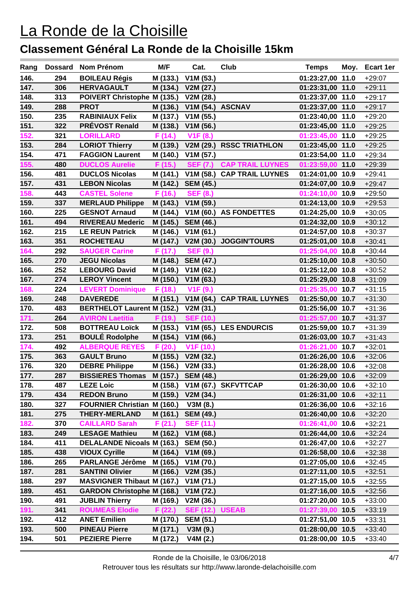| Rang |     | Dossard Nom Prénom                   | M/F      | Cat.                  | Club                         | <b>Temps</b>     | Moy. | Ecart 1er |
|------|-----|--------------------------------------|----------|-----------------------|------------------------------|------------------|------|-----------|
| 146. | 294 | <b>BOILEAU Régis</b>                 | M (133.) | V1M(53.)              |                              | 01:23:27,00 11.0 |      | $+29:07$  |
| 147. | 306 | <b>HERVAGAULT</b>                    | M (134.) | V2M(27.)              |                              | 01:23:31,00 11.0 |      | $+29:11$  |
| 148. | 313 | POIVERT Christophe M (135.)          |          | V2M (28.)             |                              | 01:23:37,00 11.0 |      | $+29:17$  |
| 149. | 288 | <b>PROT</b>                          | M (136.) | V1M (54.) ASCNAV      |                              | 01:23:37,00 11.0 |      | $+29:17$  |
| 150. | 235 | <b>RABINIAUX Felix</b>               | M (137.) | V1M(55.)              |                              | 01:23:40,00 11.0 |      | $+29:20$  |
| 151. | 322 | <b>PRÉVOST Renald</b>                | M (138.) | V1M(56.)              |                              | 01:23:45,00 11.0 |      | $+29:25$  |
| 152. | 321 | <b>LORILLARD</b>                     | F (14.)  | V <sub>1</sub> F (8.) |                              | 01:23:45,00 11.0 |      | $+29:25$  |
| 153. | 284 | <b>LORIOT Thierry</b>                | M (139.) | V2M(29.)              | <b>RSSC TRIATHLON</b>        | 01:23:45,00 11.0 |      | $+29:25$  |
| 154. | 471 | <b>FAGGION Laurent</b>               | M (140.) | V1M(57.)              |                              | 01:23:54,00 11.0 |      | $+29:34$  |
| 155. | 480 | <b>DUCLOS Aurelie</b>                | F (15.)  | <b>SEF (7.)</b>       | <b>CAP TRAIL LUYNES</b>      | 01:23:59,00 11.0 |      | $+29:39$  |
| 156. | 481 | <b>DUCLOS Nicolas</b>                | M (141.) | V1M(58.)              | <b>CAP TRAIL LUYNES</b>      | 01:24:01,00 10.9 |      | $+29:41$  |
| 157. | 431 | <b>LEBON Nicolas</b>                 |          | M (142.) SEM (45.)    |                              | 01:24:07,00 10.9 |      | $+29:47$  |
| 158. | 443 | <b>CASTEL Solene</b>                 | F (16.)  | <b>SEF (8.)</b>       |                              | 01:24:10,00 10.9 |      | $+29:50$  |
| 159. | 337 | <b>MERLAUD Philippe</b>              | M (143.) | V1M(59.)              |                              | 01:24:13,00 10.9 |      | $+29:53$  |
| 160. | 225 | <b>GESNOT Arnaud</b>                 | M (144.) |                       | V1M (60.) AS FONDETTES       | 01:24:25,00 10.9 |      | $+30:05$  |
| 161. | 494 | <b>RIVEREAU Mederic</b>              | M (145.) | <b>SEM (46.)</b>      |                              | 01:24:32,00 10.9 |      | $+30:12$  |
| 162. | 215 | <b>LE REUN Patrick</b>               | M (146.) | V1M(61.)              |                              | 01:24:57,00 10.8 |      | $+30:37$  |
| 163. | 351 | <b>ROCHETEAU</b>                     | M (147.) |                       | V2M (30.) JOGGIN'TOURS       | 01:25:01,00 10.8 |      | $+30:41$  |
| 164. | 292 | <b>SAUGER Carine</b>                 | F(17.)   | <b>SEF (9.)</b>       |                              | 01:25:04,00 10.8 |      | $+30:44$  |
| 165. | 270 | <b>JEGU Nicolas</b>                  | M (148.) | <b>SEM (47.)</b>      |                              | 01:25:10,00 10.8 |      | $+30:50$  |
| 166. | 252 | <b>LEBOURG David</b>                 | M (149.) | V1M(62.)              |                              | 01:25:12,00 10.8 |      | $+30:52$  |
| 167. | 274 | <b>LEROY Vincent</b>                 | M (150.) | V1M(63.)              |                              | 01:25:29,00 10.8 |      | $+31:09$  |
| 168. | 224 | <b>LEVERT Dominique</b>              | F (18.)  | V <sub>1</sub> F (9.) |                              | 01:25:35,00 10.7 |      | $+31:15$  |
| 169. | 248 | <b>DAVEREDE</b>                      | M (151.) |                       | V1M (64.) CAP TRAIL LUYNES   | 01:25:50,00 10.7 |      | $+31:30$  |
| 170. | 483 | <b>BERTHELOT Laurent M (152.)</b>    |          | V2M (31.)             |                              | 01:25:56,00 10.7 |      | $+31:36$  |
| 171. | 264 | <b>AVIRON Laetitia</b>               | F (19.)  | <b>SEF (10.)</b>      |                              | 01:25:57,00 10.7 |      | $+31:37$  |
| 172. | 508 | <b>BOTTREAU Loïck</b>                | M (153.) |                       | V1M (65.) LES ENDURCIS       | 01:25:59,00 10.7 |      | $+31:39$  |
| 173. | 251 | <b>BOULÉ Rodolphe</b>                | M (154.) | V1M(66.)              |                              | 01:26:03,00 10.7 |      | $+31:43$  |
| 174. | 492 | <b>ALBERQUE REYES</b>                | F (20.)  | V1F (10.)             |                              | 01:26:21,00 10.7 |      | $+32:01$  |
| 175. | 363 | <b>GAULT Bruno</b>                   | M (155.) | V2M(32.)              |                              | 01:26:26,00 10.6 |      | $+32:06$  |
| 176. | 320 | <b>DEBRE Philippe</b>                | M (156.) | V2M (33.)             |                              | 01:26:28,00 10.6 |      | $+32:08$  |
| 177. | 287 | BISSIERES Thomas M (157.) SEM (48.)  |          |                       |                              | 01:26:29,00 10.6 |      | $+32:09$  |
| 178. | 487 | <b>LEZE Loic</b>                     |          |                       | M (158.) V1M (67.) SKFVTTCAP | 01:26:30,00 10.6 |      | $+32:10$  |
| 179. | 434 | <b>REDON Bruno</b>                   |          | M (159.) V2M (34.)    |                              | 01:26:31,00 10.6 |      | $+32:11$  |
| 180. | 327 | FOURNIER Christian M (160.) V3M (8.) |          |                       |                              | 01:26:36,00 10.6 |      | $+32:16$  |
| 181. | 275 | <b>THERY-MERLAND</b>                 | M (161.) | <b>SEM (49.)</b>      |                              | 01:26:40,00 10.6 |      | $+32:20$  |
| 182. | 370 | <b>CAILLARD Sarah</b>                | F(21.)   | <b>SEF (11.)</b>      |                              | 01:26:41,00 10.6 |      | $+32:21$  |
| 183. | 249 | <b>LESAGE Mathieu</b>                |          | M (162.) V1M (68.)    |                              | 01:26:44,00 10.6 |      | $+32:24$  |
| 184. | 411 | <b>DELALANDE Nicoals M (163.)</b>    |          | <b>SEM (50.)</b>      |                              | 01:26:47,00 10.6 |      | $+32:27$  |
| 185. | 438 | <b>VIOUX Cyrille</b>                 |          | M (164.) V1M (69.)    |                              | 01:26:58,00 10.6 |      | $+32:38$  |
| 186. | 265 | PARLANGE Jérôme M (165.) V1M (70.)   |          |                       |                              | 01:27:05,00 10.6 |      | $+32:45$  |
| 187. | 281 | <b>SANTINI Olivier</b>               |          | M (166.) V2M (35.)    |                              | 01:27:11,00 10.5 |      | $+32:51$  |
| 188. | 297 | MASVIGNER Thibaut M (167.) V1M (71.) |          |                       |                              | 01:27:15,00 10.5 |      | $+32:55$  |
| 189. | 451 | GARDON Christophe M (168.) V1M (72.) |          |                       |                              | 01:27:16,00 10.5 |      | $+32:56$  |
| 190. | 491 | <b>JUBLIN Thierry</b>                | M (169.) | V2M (36.)             |                              | 01:27:20,00 10.5 |      | $+33:00$  |
| 191. | 341 | <b>ROUMEAS Elodie</b>                | F(22.)   | SEF (12.) USEAB       |                              | 01:27:39,00 10.5 |      | $+33:19$  |
| 192. | 412 | <b>ANET Emilien</b>                  | M (170.) | <b>SEM (51.)</b>      |                              | 01:27:51,00 10.5 |      | $+33:31$  |
| 193. | 500 | <b>PINEAU Pierre</b>                 | M (171.) | V3M(9.)               |                              | 01:28:00,00 10.5 |      | $+33:40$  |
| 194. | 501 | <b>PEZIERE Pierre</b>                | M (172.) | V4M(2.)               |                              | 01:28:00,00 10.5 |      | $+33:40$  |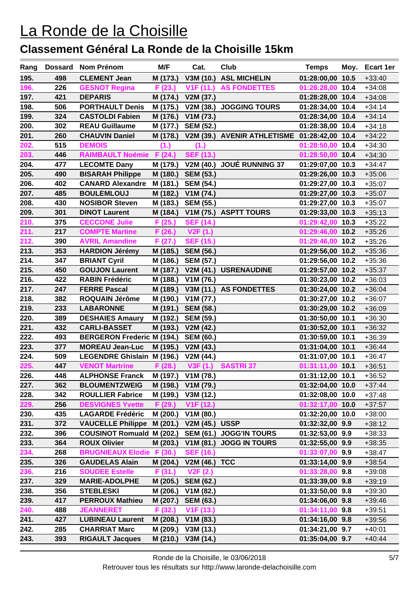| Rang         |            | Dossard Nom Prénom                                 | M/F                | Cat.                                | Club                                         | <b>Temps</b>                         | Moy. | Ecart 1er            |
|--------------|------------|----------------------------------------------------|--------------------|-------------------------------------|----------------------------------------------|--------------------------------------|------|----------------------|
| 195.         | 498        | <b>CLEMENT Jean</b>                                | M (173.)           | V3M (10.)                           | <b>ASL MICHELIN</b>                          | 01:28:00,00 10.5                     |      | $+33:40$             |
| 196.         | 226        | <b>GESNOT Regina</b>                               | F(23.)             | V <sub>1</sub> F (11.)              | <b>AS FONDETTES</b>                          | 01:28:28,00 10.4                     |      | $+34:08$             |
| 197.         | 421        | <b>DEPARIS</b>                                     | M (174.)           | V2M (37.)                           |                                              | 01:28:28,00 10.4                     |      | $+34:08$             |
| 198.         | 506        | <b>PORTHAULT Denis</b>                             | M (175.)           | V2M (38.)                           | <b>JOGGING TOURS</b>                         | 01:28:34,00 10.4                     |      | $+34:14$             |
| 199.         | 324        | <b>CASTOLDI Fabien</b>                             | M (176.)           | V1M (73.)                           |                                              | 01:28:34,00 10.4                     |      | $+34:14$             |
| 200.         | 302        | <b>REAU Guillaume</b>                              | M (177.)           | <b>SEM (52.)</b>                    |                                              | 01:28:38,00 10.4                     |      | $+34:18$             |
| 201.         | 260        | <b>CHAUVIN Daniel</b>                              | M (178.)           |                                     | V2M (39.) AVENIR ATHLETISME 01:28:42,00 10.4 |                                      |      | $+34:22$             |
| 202.         | 515        | <b>DEMOIS</b>                                      | (1.)               | (1.)                                |                                              | 01:28:50,00 10.4                     |      | $+34:30$             |
| 203.         | 446        | <b>RAIMBAULT Noémie F (24.)</b>                    |                    | <b>SEF (13.)</b>                    |                                              | 01:28:50,00 10.4                     |      | $+34:30$             |
| 204.         | 477        | <b>LECOMTE Dany</b>                                | M (179.)           | V2M(40.)                            | <b>JOUÉ RUNNING 37</b>                       | 01:29:07,00 10.3                     |      | $+34:47$             |
| 205.         | 490        | <b>BISARAH Philippe</b>                            | M (180.)           | <b>SEM (53.)</b>                    |                                              | 01:29:26,00 10.3                     |      | $+35:06$             |
| 206.         | 402        | <b>CANARD Alexandre</b>                            | M (181.)           | <b>SEM (54.)</b>                    |                                              | 01:29:27,00 10.3                     |      | $+35:07$             |
| 207.         | 485        | <b>BOULEMLOUJ</b>                                  | M (182.)           | V1M (74.)                           |                                              | 01:29:27,00 10.3                     |      | $+35:07$             |
| 208.         | 430        | <b>NOSIBOR Steven</b>                              | M (183.)           | <b>SEM (55.)</b>                    |                                              | 01:29:27,00 10.3                     |      | $+35:07$             |
| 209.         | 301        | <b>DINOT Laurent</b>                               | M (184.)           |                                     | V1M (75.) ASPTT TOURS                        | 01:29:33,00 10.3                     |      | $+35:13$             |
| 210.         | 375        | <b>CECCONE Julie</b>                               | F (25.)            | <b>SEF (14.)</b>                    |                                              | 01:29:42,00 10.3                     |      | $+35:22$             |
| 211.         | 217        | <b>COMPTE Martine</b>                              | F(26.)             | V2F(1.)                             |                                              | 01:29:46,00 10.2                     |      | $+35:26$             |
| 212.         | 390        | <b>AVRIL Amandine</b>                              | F(27.)             | <b>SEF (15.)</b>                    |                                              | 01:29:46,00 10.2                     |      | $+35:26$             |
| 213.         | 353        | <b>HARDION Jérémy</b>                              | M (185.)           | <b>SEM (56.)</b>                    |                                              | 01:29:56,00 10.2                     |      | $+35:36$             |
| 214.         | 347        | <b>BRIANT Cyril</b>                                | M (186.)           | <b>SEM (57.)</b>                    |                                              | 01:29:56,00 10.2                     |      | $+35:36$             |
| 215.         | 450        | <b>GOUJON Laurent</b>                              | M (187.)           | V2M(41.)                            | <b>USRENAUDINE</b>                           | 01:29:57,00 10.2                     |      | $+35:37$             |
| 216.         | 422        | <b>RABIN Frédéric</b>                              | M (188.)           | V1M (76.)                           |                                              | 01:30:23,00 10.2                     |      | $+36:03$             |
| 217.         | 247        | <b>FERRE Pascal</b>                                | M (189.)           |                                     | V3M (11.) AS FONDETTES                       | 01:30:24,00 10.2                     |      | $+36:04$             |
| 218.         | 382        | ROQUAIN Jérôme                                     | M (190.)           | V1M (77.)                           |                                              | 01:30:27,00 10.2                     |      | $+36:07$             |
| 219.         | 233        | <b>LABARONNE</b>                                   | M (191.)           | <b>SEM (58.)</b>                    |                                              | 01:30:29,00 10.2                     |      | $+36:09$             |
| 220.         | 389        | <b>DESHAIES Amaury</b>                             |                    | M (192.) SEM (59.)                  |                                              | 01:30:50,00 10.1                     |      | $+36:30$             |
| 221.         | 432        | <b>CARLI-BASSET</b>                                |                    | M (193.) V2M (42.)                  |                                              | 01:30:52,00 10.1                     |      | $+36:32$             |
| 222.         | 493        | <b>BERGERON Frederic M (194.)</b>                  |                    | <b>SEM (60.)</b>                    |                                              | 01:30:59,00 10.1                     |      | $+36:39$             |
| 223.         | 377        | <b>MOREAU Jean-Luc</b>                             | M (195.)           | V2M(43.)                            |                                              | 01:31:04,00 10.1                     |      | $+36:44$             |
| 224.<br>225. | 509        | <b>LEGENDRE Ghislain M (196.)</b>                  |                    | V2M (44.)                           |                                              | 01:31:07,00 10.1                     |      | $+36:47$             |
|              | 447        | <b>VENOT Martrine</b>                              | F (28.)            | V3F(1.)                             | <b>SASTRI37</b>                              | 01:31:11,00 10.1                     |      | $+36:51$             |
| 226.         | 448        | <b>ALPHONSE Franck</b>                             | M (197.)           | V1M (78.)                           |                                              | 01:31:12,00 10.1                     |      | +36:52               |
| 227.         | 362        | <b>BLOUMENTZWEIG</b>                               |                    | M (198.) V1M (79.)                  |                                              | 01:32:04,00 10.0                     |      | $+37:44$             |
| 228.<br>229. | 342<br>256 | <b>ROULLIER Fabrice</b><br><b>DESVIGNES Yvette</b> | M (199.)           | V3M (12.)<br>V <sub>1</sub> F (12.) |                                              | 01:32:08,00 10.0<br>01:32:17,00 10.0 |      | $+37:48$<br>$+37:57$ |
| 230.         | 435        | <b>LAGARDE Frédéric</b>                            | F(29.)<br>M (200.) | V1M (80.)                           |                                              | 01:32:20,00 10.0                     |      |                      |
| 231.         | 372        | VAUCELLE Philippe M (201.) V2M (45.) USSP          |                    |                                     |                                              | 01:32:32,00 9.9                      |      | $+38:00$<br>$+38:12$ |
| 232.         | 396        | <b>COUSINOT Romuald M (202.)</b>                   |                    |                                     | SEM (61.) JOGG'IN TOURS                      | 01:32:53,00 9.9                      |      |                      |
| 233.         | 364        | <b>ROUX Olivier</b>                                | M (203.)           | V1M(81.)                            | <b>JOGG IN TOURS</b>                         | 01:32:55,00 9.9                      |      | $+38:33$<br>$+38:35$ |
| 234.         | 268        | <b>BRUGNIEAUX Elodie F (30.)</b>                   |                    | <b>SEF (16.)</b>                    |                                              | 01:33:07,00 9.9                      |      | $+38:47$             |
| 235.         | 326        | <b>GAUDELAS Alain</b>                              | M (204.)           | <b>V2M (46.) TCC</b>                |                                              | 01:33:14,00 9.9                      |      | $+38:54$             |
| 236.         | 216        | <b>SOUDEE Estelle</b>                              | F(31.)             | V2F(2.)                             |                                              | 01:33:28,00 9.8                      |      | $+39:08$             |
| 237.         | 329        | <b>MARIE-ADOLPHE</b>                               | M (205.)           | <b>SEM (62.)</b>                    |                                              | 01:33:39,00 9.8                      |      | $+39:19$             |
| 238.         | 356        | <b>STEBLESKI</b>                                   | M (206.)           | V1M(82.)                            |                                              | 01:33:50,00 9.8                      |      | $+39:30$             |
| 239.         | 417        | <b>PERROUX Mathieu</b>                             | M (207.)           | <b>SEM (63.)</b>                    |                                              | 01:34:06,00 9.8                      |      | $+39:46$             |
| 240.         | 488        | <b>JEANNERET</b>                                   | F(32.)             | V1F(13.)                            |                                              | 01:34:11,00 9.8                      |      | $+39:51$             |
| 241.         | 427        | <b>LUBINEAU Laurent</b>                            | M (208.)           | V1M(83.)                            |                                              | 01:34:16,00 9.8                      |      | $+39:56$             |
| 242.         | 285        | <b>CHARRIAT Marc</b>                               | M (209.)           | V3M (13.)                           |                                              | 01:34:21,00 9.7                      |      | $+40:01$             |
| 243.         | 393        | <b>RIGAULT Jacques</b>                             | M (210.)           | V3M(14.)                            |                                              | 01:35:04,00 9.7                      |      | $+40:44$             |
|              |            |                                                    |                    |                                     |                                              |                                      |      |                      |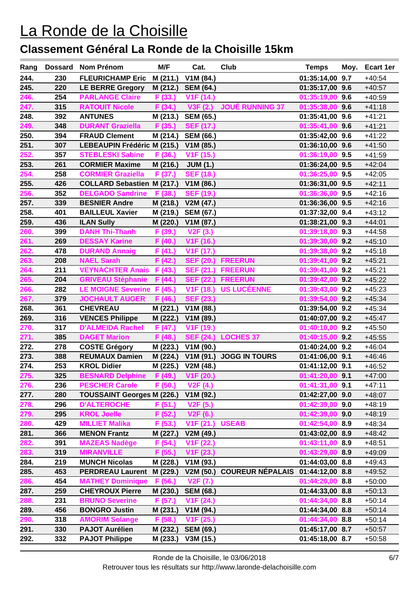| Rang         |            | Dossard Nom Prénom                          | M/F                  | Cat.                   | Club                    | <b>Temps</b>                         | Moy. | Ecart 1er            |
|--------------|------------|---------------------------------------------|----------------------|------------------------|-------------------------|--------------------------------------|------|----------------------|
| 244.         | 230        | FLEURICHAMP Eric M (211.)                   |                      | V1M (84.)              |                         | 01:35:14,00 9.7                      |      | $+40:54$             |
| 245.         | 220        | <b>LE BERRE Gregory</b>                     | M (212.)             | <b>SEM (64.)</b>       |                         | 01:35:17,00 9.6                      |      | $+40:57$             |
| 246.         | 254        | <b>PARLANGE Claire</b>                      | F(33.)               | V <sub>1</sub> F (14.) |                         | 01:35:19,00 9.6                      |      | $+40:59$             |
| 247.         | 315        | <b>RATOUIT Nicole</b>                       | F(34.)               | V3F(2.)                | <b>JOUÉ RUNNING 37</b>  | 01:35:38,00 9.6                      |      | $+41:18$             |
| 248.         | 392        | <b>ANTUNES</b>                              | M (213.)             | <b>SEM (65.)</b>       |                         | 01:35:41,00 9.6                      |      | $+41:21$             |
| 249.         | 348        | <b>DURANT Graziella</b>                     | F (35.)              | <b>SEF (17.)</b>       |                         | 01:35:41,00 9.6                      |      | $+41:21$             |
| 250.         | 394        | <b>FRAUD Clement</b>                        | M (214.)             | <b>SEM (66.)</b>       |                         | 01:35:42,00 9.6                      |      | $+41:22$             |
| 251.         | 307        | <b>LEBEAUPIN Frédéric M (215.)</b>          |                      | V1M(85.)               |                         | 01:36:10,00 9.6                      |      | $+41:50$             |
| 252.         | 357        | <b>STEBLESKI Sabine</b>                     | F(36.)               | V <sub>1</sub> F (15.) |                         | 01:36:19,00 9.5                      |      | $+41:59$             |
| 253.         | 261        | <b>CORMIER Maxime</b>                       | M (216.)             | <b>JUM (1.)</b>        |                         | 01:36:24,00 9.5                      |      | $+42:04$             |
| 254.         | 258        | <b>CORMIER Graziella</b>                    | F (37.)              | <b>SEF (18.)</b>       |                         | 01:36:25,00 9.5                      |      | $+42:05$             |
| 255.         | 426        | COLLARD Sebastien M (217.) V1M (86.)        |                      |                        |                         | 01:36:31,00 9.5                      |      | $+42:11$             |
| 256.         | 352        | <b>DELGADO Sandrine</b>                     | F (38.)              | <b>SEF (19.)</b>       |                         | 01:36:36,00 9.5                      |      | $+42:16$             |
| 257.         | 339        | <b>BESNIER Andre</b>                        | M (218.)             | V2M (47.)              |                         | 01:36:36,00 9.5                      |      | $+42:16$             |
| 258.         | 401        | <b>BAILLEUL Xavier</b>                      | M (219.)             | <b>SEM (67.)</b>       |                         | 01:37:32,00 9.4                      |      | $+43:12$             |
| 259.         | 436        | <b>ILAN Sully</b>                           | M (220.)             | V1M (87.)              |                         | 01:38:21,00 9.3                      |      | $+44:01$             |
| 260.         | 399        | <b>DANH Thi-Thanh</b>                       | F (39.)              | V2F(3.)                |                         | 01:39:18,00 9.3                      |      | $+44:58$             |
| 261.         | 269        | <b>DESSAY Karine</b>                        | F (40.)              | V <sub>1</sub> F (16.) |                         | 01:39:30,00 9.2                      |      | $+45:10$             |
| 262.         | 478        | <b>DURAND Annaig</b>                        | F (41.)              | V <sub>1</sub> F (17.) |                         | 01:39:38,00 9.2                      |      | $+45:18$             |
| 263.         | 208        | <b>NAEL Sarah</b>                           | F (42.)              | <b>SEF (20.)</b>       | <b>FREERUN</b>          | 01:39:41,00 9.2                      |      | $+45:21$             |
| 264.         | 211        | <b>VEYNACHTER Anais</b>                     | F(43.)               | <b>SEF (21.)</b>       | <b>FREERUN</b>          | 01:39:41,00 9.2                      |      | $+45:21$             |
| 265.         | 204        | <b>GRIVEAU Stéphanie</b>                    | F (44.)              | <b>SEF (22.)</b>       | <b>FREERUN</b>          | 01:39:42,00 9.2                      |      | $+45:22$             |
| 266.         | 282        | LE MOIGNE Severine F (45.)                  |                      | V <sub>1</sub> F (18.) | <b>US LUCÉENNE</b>      | 01:39:43,00 9.2                      |      | $+45:23$             |
| 267.         | 379        | <b>JOCHAULT AUGER</b>                       | F (46.)              | <b>SEF (23.)</b>       |                         | 01:39:54,00 9.2                      |      | $+45:34$             |
| 268.         | 361        | <b>CHEVREAU</b>                             | M (221.)             | V1M (88.)              |                         | 01:39:54,00 9.2                      |      | $+45:34$             |
| 269.         | 316        | <b>VENCES Philippe</b>                      | M (222.)             | V1M (89.)              |                         | 01:40:07,00 9.2                      |      | $+45:47$             |
| 270.         | 317        | <b>D'ALMEIDA Rachel</b>                     | F (47.)              | V <sub>1</sub> F (19.) |                         | 01:40:10,00 9.2                      |      | $+45:50$             |
| 271.         | 385        | <b>DAGET Marion</b>                         | F (48.)              | <b>SEF (24.)</b>       | <b>LOCHES 37</b>        | 01:40:15,00 9.2                      |      | $+45:55$             |
| 272.<br>273. | 278        | <b>COSTE Grégory</b>                        | M (223.)             | V1M (90.)              |                         | 01:40:24,00 9.2                      |      | $+46:04$             |
| 274.         | 388<br>253 | <b>REUMAUX Damien</b><br><b>KROL Didier</b> | M (224.)<br>M (225.) | V2M (48.)              | V1M (91.) JOGG IN TOURS | 01:41:06,00 9.1<br>01:41:12,00 9.1   |      | $+46:46$<br>$+46:52$ |
| 275.         | 325        | BESNARD Delphine F (49.) V1F (20.)          |                      |                        |                         |                                      |      | $+47:00$             |
| 276.         | 236        | <b>PESCHER Carole</b>                       | F(50.)               | V2F(4.)                |                         | $01:41:20,00$ 9.1<br>01:41:31,00 9.1 |      | $+47:11$             |
| 277.         | 280        | <b>TOUSSAINT Georges M (226.)</b>           |                      | V1M(92.)               |                         | 01:42:27,00 9.0                      |      | $+48:07$             |
| 278.         | 296        | <b>D'ALTEROCHE</b>                          | F(51.)               | V <sub>2</sub> F (5.)  |                         | 01:42:39,00 9.0                      |      | $+48:19$             |
| 279.         | 295        | <b>KROL Joelle</b>                          | F (52.)              | V <sub>2</sub> F (6.)  |                         | 01:42:39,00 9.0                      |      | $+48:19$             |
| 280.         | 429        | <b>MILLIET Malika</b>                       | F (53.)              | <b>V1F (21.) USEAB</b> |                         | 01:42:54,00 8.9                      |      | $+48:34$             |
| 281.         | 366        | <b>MENON Frantz</b>                         | M (227.)             | V2M (49.)              |                         | 01:43:02,00 8.9                      |      | $+48:42$             |
| 282.         | 391        | <b>MAZEAS Nadège</b>                        | F (54.)              | V1F (22.)              |                         | 01:43:11,00 8.9                      |      | $+48:51$             |
| 283.         | 319        | <b>MIRANVILLE</b>                           | F (55.)              | V <sub>1</sub> F (23.) |                         | 01:43:29,00 8.9                      |      | $+49:09$             |
| 284.         | 219        | <b>MUNCH Nicolas</b>                        | M (228.)             | V1M(93.)               |                         | 01:44:03,00 8.8                      |      | $+49:43$             |
| 285.         | 453        | <b>PERDREAU Laurent</b>                     | M (229.)             | V2M (50.)              | <b>COUREUR NÉPALAIS</b> | 01:44:12,00 8.8                      |      | $+49:52$             |
| 286.         | 454        | <b>MATHEY Dominique</b>                     | F (56.)              | V <sub>2</sub> F (7.)  |                         | $01:44:20,00$ 8.8                    |      | $+50:00$             |
| 287.         | 259        | <b>CHEYROUX Pierre</b>                      | M (230.)             | <b>SEM (68.)</b>       |                         | 01:44:33,00 8.8                      |      | $+50:13$             |
| 288.         | 231        | <b>BRUNO Severine</b>                       | F (57.)              | V <sub>1</sub> F (24.) |                         | 01:44:34,00 8.8                      |      | $+50:14$             |
| 289.         | 456        | <b>BONGRO Justin</b>                        | M (231.)             | V1M(94.)               |                         | 01:44:34,00 8.8                      |      | $+50:14$             |
| 290.         | 318        | <b>AMORIM Solange</b>                       | F (58.)              | V <sub>1</sub> F (25.) |                         | 01:44:34,00 8.8                      |      | $+50:14$             |
| 291.         | 330        | <b>PAJOT Aurélien</b>                       | M (232.)             | <b>SEM (69.)</b>       |                         | 01:45:17,00 8.7                      |      | $+50:57$             |
| 292.         | 332        | <b>PAJOT Philippe</b>                       | M (233.)             | V3M (15.)              |                         | 01:45:18,00 8.7                      |      | $+50:58$             |
|              |            |                                             |                      |                        |                         |                                      |      |                      |